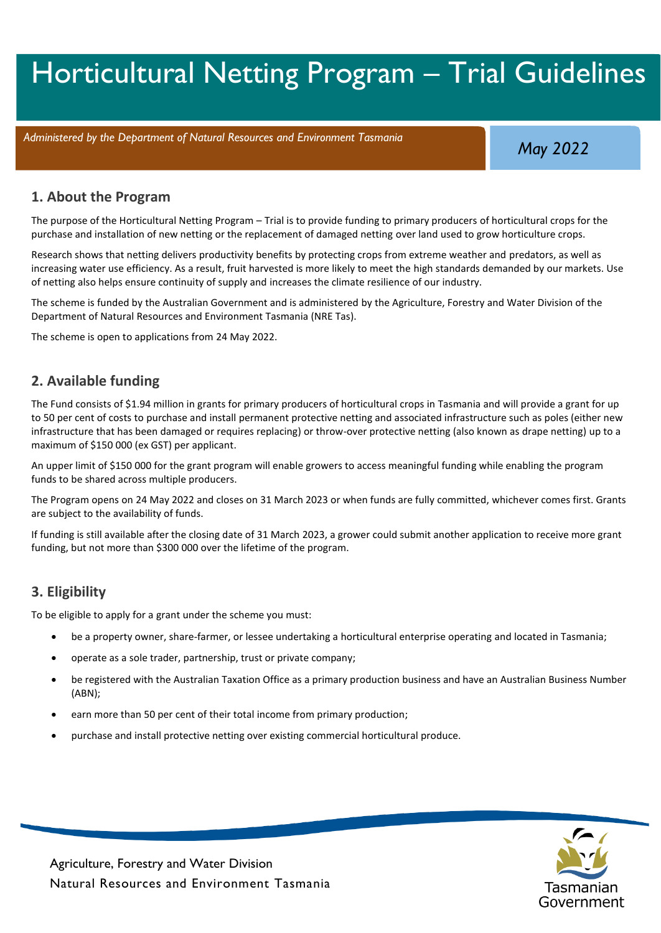# Horticultural Netting Program – Trial Guidelines

*Administered by the Department of Natural Resources and Environment Tasmania*

*May 2022*

#### **1. About the Program**

The purpose of the Horticultural Netting Program – Trial is to provide funding to primary producers of horticultural crops for the purchase and installation of new netting or the replacement of damaged netting over land used to grow horticulture crops.

Research shows that netting delivers productivity benefits by protecting crops from extreme weather and predators, as well as increasing water use efficiency. As a result, fruit harvested is more likely to meet the high standards demanded by our markets. Use of netting also helps ensure continuity of supply and increases the climate resilience of our industry.

The scheme is funded by the Australian Government and is administered by the Agriculture, Forestry and Water Division of the Department of Natural Resources and Environment Tasmania (NRE Tas).

The scheme is open to applications from 24 May 2022.

### **2. Available funding**

The Fund consists of \$1.94 million in grants for primary producers of horticultural crops in Tasmania and will provide a grant for up to 50 per cent of costs to purchase and install permanent protective netting and associated infrastructure such as poles (either new infrastructure that has been damaged or requires replacing) or throw-over protective netting (also known as drape netting) up to a maximum of \$150 000 (ex GST) per applicant.

An upper limit of \$150 000 for the grant program will enable growers to access meaningful funding while enabling the program funds to be shared across multiple producers.

The Program opens on 24 May 2022 and closes on 31 March 2023 or when funds are fully committed, whichever comes first. Grants are subject to the availability of funds.

If funding is still available after the closing date of 31 March 2023, a grower could submit another application to receive more grant funding, but not more than \$300 000 over the lifetime of the program.

### **3. Eligibility**

To be eligible to apply for a grant under the scheme you must:

- be a property owner, share-farmer, or lessee undertaking a horticultural enterprise operating and located in Tasmania;
- operate as a sole trader, partnership, trust or private company;
- be registered with the Australian Taxation Office as a primary production business and have an Australian Business Number (ABN);
- earn more than 50 per cent of their total income from primary production;
- purchase and install protective netting over existing commercial horticultural produce.

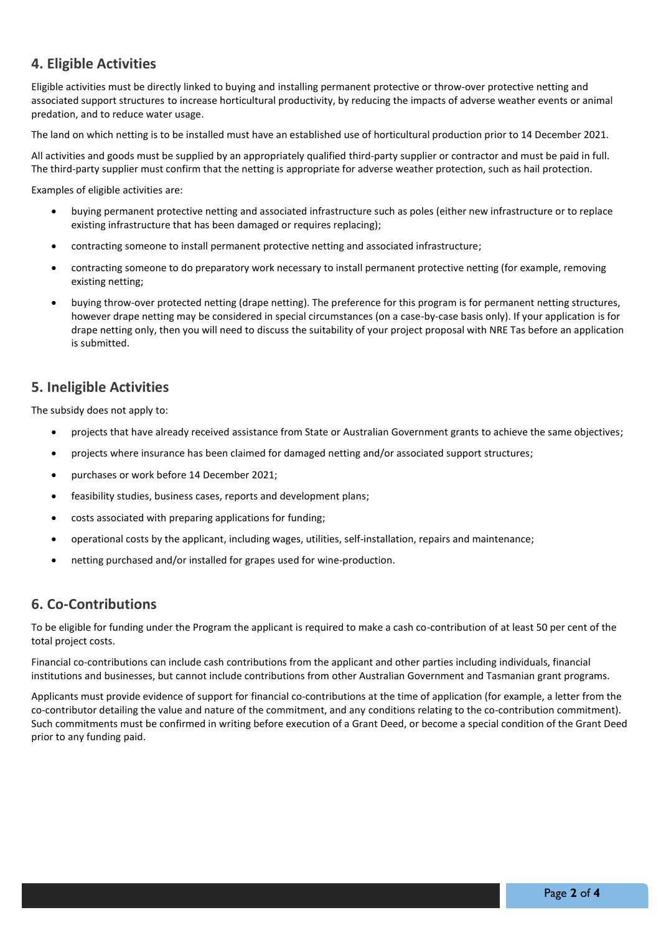# **4. Eligible Activities**

Eligible activities must be directly linked to buying and installing permanent protective or throw-over protective netting and associated support structures to increase horticultural productivity, by reducing the impacts of adverse weather events or animal predation, and to reduce water usage.

The land on which netting is to be installed must have an established use of horticultural production prior to 14 December 2021.

All activities and goods must be supplied by an appropriately qualified third-party supplier or contractor and must be paid in full. The third-party supplier must confirm that the netting is appropriate for adverse weather protection, such as hail protection.

Examples of eligible activities are:

- buying permanent protective netting and associated infrastructure such as poles (either new infrastructure or to replace existing infrastructure that has been damaged or requires replacing);
- contracting someone to install permanent protective netting and associated infrastructure;
- contracting someone to do preparatory work necessary to install permanent protective netting (for example, removing existing netting;
- buying throw-over protected netting (drape netting). The preference for this program is for permanent netting structures, however drape netting may be considered in special circumstances (on a case-by-case basis only). If your application is for drape netting only, then you will need to discuss the suitability of your project proposal with NRE Tas before an application is submitted.

### **5. Ineligible Activities**

The subsidy does not apply to:

- projects that have already received assistance from State or Australian Government grants to achieve the same objectives;
- projects where insurance has been claimed for damaged netting and/or associated support structures;
- purchases or work before 14 December 2021;
- feasibility studies, business cases, reports and development plans;
- costs associated with preparing applications for funding;
- operational costs by the applicant, including wages, utilities, self-installation, repairs and maintenance;
- netting purchased and/or installed for grapes used for wine-production.

#### **6. Co-Contributions**

To be eligible for funding under the Program the applicant is required to make a cash co-contribution of at least 50 per cent of the total project costs.

Financial co-contributions can include cash contributions from the applicant and other parties including individuals, financial institutions and businesses, but cannot include contributions from other Australian Government and Tasmanian grant programs.

Applicants must provide evidence of support for financial co-contributions at the time of application (for example, a letter from the co-contributor detailing the value and nature of the commitment, and any conditions relating to the co-contribution commitment). Such commitments must be confirmed in writing before execution of a Grant Deed, or become a special condition of the Grant Deed prior to any funding paid.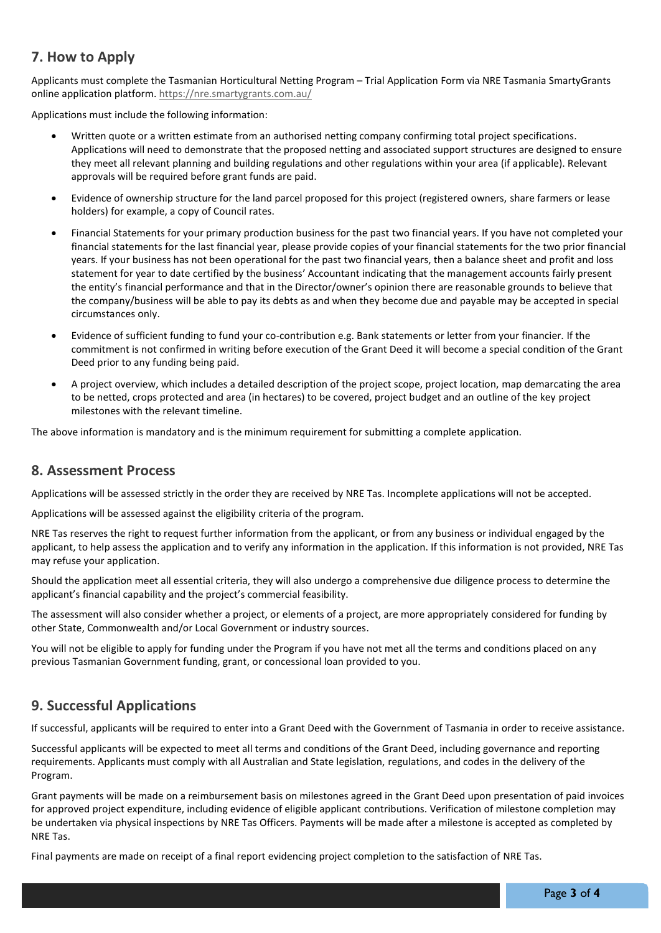# **7. How to Apply**

Applicants must complete the Tasmanian Horticultural Netting Program – Trial Application Form via NRE Tasmania SmartyGrants online application platform. <https://nre.smartygrants.com.au/>

Applications must include the following information:

- Written quote or a written estimate from an authorised netting company confirming total project specifications. Applications will need to demonstrate that the proposed netting and associated support structures are designed to ensure they meet all relevant planning and building regulations and other regulations within your area (if applicable). Relevant approvals will be required before grant funds are paid.
- Evidence of ownership structure for the land parcel proposed for this project (registered owners, share farmers or lease holders) for example, a copy of Council rates.
- Financial Statements for your primary production business for the past two financial years. If you have not completed your financial statements for the last financial year, please provide copies of your financial statements for the two prior financial years. If your business has not been operational for the past two financial years, then a balance sheet and profit and loss statement for year to date certified by the business' Accountant indicating that the management accounts fairly present the entity's financial performance and that in the Director/owner's opinion there are reasonable grounds to believe that the company/business will be able to pay its debts as and when they become due and payable may be accepted in special circumstances only.
- Evidence of sufficient funding to fund your co-contribution e.g. Bank statements or letter from your financier. If the commitment is not confirmed in writing before execution of the Grant Deed it will become a special condition of the Grant Deed prior to any funding being paid.
- A project overview, which includes a detailed description of the project scope, project location, map demarcating the area to be netted, crops protected and area (in hectares) to be covered, project budget and an outline of the key project milestones with the relevant timeline.

The above information is mandatory and is the minimum requirement for submitting a complete application.

#### **8. Assessment Process**

Applications will be assessed strictly in the order they are received by NRE Tas. Incomplete applications will not be accepted.

Applications will be assessed against the eligibility criteria of the program.

NRE Tas reserves the right to request further information from the applicant, or from any business or individual engaged by the applicant, to help assess the application and to verify any information in the application. If this information is not provided, NRE Tas may refuse your application.

Should the application meet all essential criteria, they will also undergo a comprehensive due diligence process to determine the applicant's financial capability and the project's commercial feasibility.

The assessment will also consider whether a project, or elements of a project, are more appropriately considered for funding by other State, Commonwealth and/or Local Government or industry sources.

You will not be eligible to apply for funding under the Program if you have not met all the terms and conditions placed on any previous Tasmanian Government funding, grant, or concessional loan provided to you.

# **9. Successful Applications**

If successful, applicants will be required to enter into a Grant Deed with the Government of Tasmania in order to receive assistance.

Successful applicants will be expected to meet all terms and conditions of the Grant Deed, including governance and reporting requirements. Applicants must comply with all Australian and State legislation, regulations, and codes in the delivery of the Program.

Grant payments will be made on a reimbursement basis on milestones agreed in the Grant Deed upon presentation of paid invoices for approved project expenditure, including evidence of eligible applicant contributions. Verification of milestone completion may be undertaken via physical inspections by NRE Tas Officers. Payments will be made after a milestone is accepted as completed by NRE Tas.

Final payments are made on receipt of a final report evidencing project completion to the satisfaction of NRE Tas.